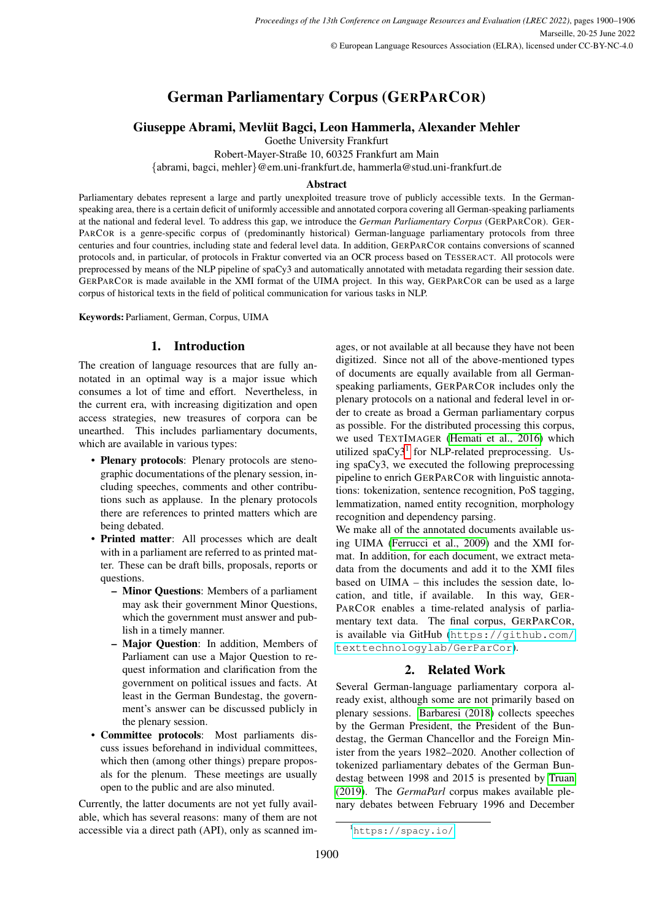# German Parliamentary Corpus (GERPARCOR)

# Giuseppe Abrami, Mevlut Bagci, Leon Hammerla, Alexander Mehler ¨

Goethe University Frankfurt

Robert-Mayer-Straße 10, 60325 Frankfurt am Main

{abrami, bagci, mehler}@em.uni-frankfurt.de, hammerla@stud.uni-frankfurt.de

#### Abstract

Parliamentary debates represent a large and partly unexploited treasure trove of publicly accessible texts. In the Germanspeaking area, there is a certain deficit of uniformly accessible and annotated corpora covering all German-speaking parliaments at the national and federal level. To address this gap, we introduce the *German Parliamentary Corpus* (GERPARCOR). GER-PARCOR is a genre-specific corpus of (predominantly historical) German-language parliamentary protocols from three centuries and four countries, including state and federal level data. In addition, GERPARCOR contains conversions of scanned protocols and, in particular, of protocols in Fraktur converted via an OCR process based on TESSERACT. All protocols were preprocessed by means of the NLP pipeline of spaCy3 and automatically annotated with metadata regarding their session date. GERPARCOR is made available in the XMI format of the UIMA project. In this way, GERPARCOR can be used as a large corpus of historical texts in the field of political communication for various tasks in NLP.

Keywords: Parliament, German, Corpus, UIMA

# 1. Introduction

<span id="page-0-1"></span>The creation of language resources that are fully annotated in an optimal way is a major issue which consumes a lot of time and effort. Nevertheless, in the current era, with increasing digitization and open access strategies, new treasures of corpora can be unearthed. This includes parliamentary documents, which are available in various types:

- Plenary protocols: Plenary protocols are stenographic documentations of the plenary session, including speeches, comments and other contributions such as applause. In the plenary protocols there are references to printed matters which are being debated.
- Printed matter: All processes which are dealt with in a parliament are referred to as printed matter. These can be draft bills, proposals, reports or questions.
	- Minor Questions: Members of a parliament may ask their government Minor Questions, which the government must answer and publish in a timely manner.
	- Major Question: In addition, Members of Parliament can use a Major Question to request information and clarification from the government on political issues and facts. At least in the German Bundestag, the government's answer can be discussed publicly in the plenary session.
- Committee protocols: Most parliaments discuss issues beforehand in individual committees, which then (among other things) prepare proposals for the plenum. These meetings are usually open to the public and are also minuted.

Currently, the latter documents are not yet fully available, which has several reasons: many of them are not accessible via a direct path (API), only as scanned im-

ages, or not available at all because they have not been digitized. Since not all of the above-mentioned types of documents are equally available from all Germanspeaking parliaments, GERPARCOR includes only the plenary protocols on a national and federal level in order to create as broad a German parliamentary corpus as possible. For the distributed processing this corpus, we used TEXTIMAGER [\(Hemati et al., 2016\)](#page-5-0) which utilized spaCy3<sup>[1](#page-0-0)</sup> for NLP-related preprocessing. Using spaCy3, we executed the following preprocessing pipeline to enrich GERPARCOR with linguistic annotations: tokenization, sentence recognition, PoS tagging, lemmatization, named entity recognition, morphology recognition and dependency parsing.

We make all of the annotated documents available using UIMA [\(Ferrucci et al., 2009\)](#page-5-1) and the XMI format. In addition, for each document, we extract metadata from the documents and add it to the XMI files based on UIMA – this includes the session date, location, and title, if available. In this way, GER-PARCOR enables a time-related analysis of parliamentary text data. The final corpus, GERPARCOR, is available via GitHub ([https://github.com/](https://github.com/texttechnologylab/GerParCor) [texttechnologylab/GerParCor](https://github.com/texttechnologylab/GerParCor)).

# 2. Related Work

Several German-language parliamentary corpora already exist, although some are not primarily based on plenary sessions. [Barbaresi \(2018\)](#page-4-0) collects speeches by the German President, the President of the Bundestag, the German Chancellor and the Foreign Minister from the years 1982–2020. Another collection of tokenized parliamentary debates of the German Bundestag between 1998 and 2015 is presented by [Truan](#page-5-2) [\(2019\)](#page-5-2). The *GermaParl* corpus makes available plenary debates between February 1996 and December

<span id="page-0-0"></span><sup>1</sup><https://spacy.io/>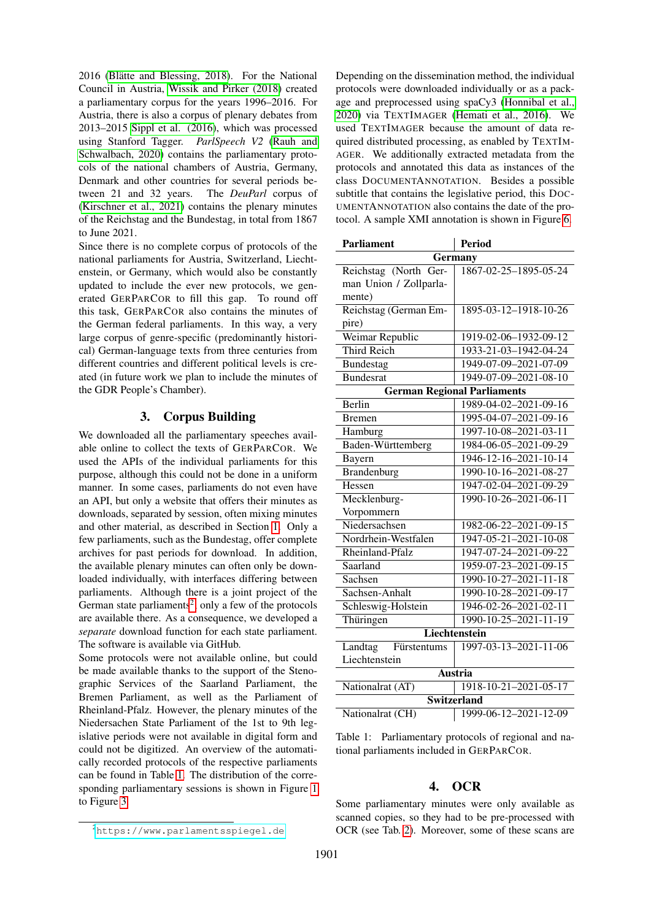2016 (Blätte and Blessing, 2018). For the National Council in Austria, [Wissik and Pirker \(2018\)](#page-5-4) created a parliamentary corpus for the years 1996–2016. For Austria, there is also a corpus of plenary debates from 2013–2015 [Sippl et al. \(2016\)](#page-5-5), which was processed using Stanford Tagger. *ParlSpeech V2* [\(Rauh and](#page-5-6) [Schwalbach, 2020\)](#page-5-6) contains the parliamentary protocols of the national chambers of Austria, Germany, Denmark and other countries for several periods between 21 and 32 years. The *DeuParl* corpus of [\(Kirschner et al., 2021\)](#page-5-7) contains the plenary minutes of the Reichstag and the Bundestag, in total from 1867 to June 2021.

Since there is no complete corpus of protocols of the national parliaments for Austria, Switzerland, Liechtenstein, or Germany, which would also be constantly updated to include the ever new protocols, we generated GERPARCOR to fill this gap. To round off this task, GERPARCOR also contains the minutes of the German federal parliaments. In this way, a very large corpus of genre-specific (predominantly historical) German-language texts from three centuries from different countries and different political levels is created (in future work we plan to include the minutes of the GDR People's Chamber).

## 3. Corpus Building

We downloaded all the parliamentary speeches available online to collect the texts of GERPARCOR. We used the APIs of the individual parliaments for this purpose, although this could not be done in a uniform manner. In some cases, parliaments do not even have an API, but only a website that offers their minutes as downloads, separated by session, often mixing minutes and other material, as described in Section [1.](#page-0-1) Only a few parliaments, such as the Bundestag, offer complete archives for past periods for download. In addition, the available plenary minutes can often only be downloaded individually, with interfaces differing between parliaments. Although there is a joint project of the German state parliaments<sup>[2](#page-1-0)</sup>, only a few of the protocols are available there. As a consequence, we developed a *separate* download function for each state parliament. The software is available via GitHub.

Some protocols were not available online, but could be made available thanks to the support of the Stenographic Services of the Saarland Parliament, the Bremen Parliament, as well as the Parliament of Rheinland-Pfalz. However, the plenary minutes of the Niedersachen State Parliament of the 1st to 9th legislative periods were not available in digital form and could not be digitized. An overview of the automatically recorded protocols of the respective parliaments can be found in Table [1.](#page-1-1) The distribution of the corresponding parliamentary sessions is shown in Figure [1](#page-2-0) to Figure [3.](#page-2-1)

Depending on the dissemination method, the individual protocols were downloaded individually or as a package and preprocessed using spaCy3 [\(Honnibal et al.,](#page-5-8) [2020\)](#page-5-8) via TEXTIMAGER [\(Hemati et al., 2016\)](#page-5-0). We used TEXTIMAGER because the amount of data required distributed processing, as enabled by TEXTIM-AGER. We additionally extracted metadata from the protocols and annotated this data as instances of the class DOCUMENTANNOTATION. Besides a possible subtitle that contains the legislative period, this DOC-UMENTANNOTATION also contains the date of the protocol. A sample XMI annotation is shown in Figure [6.](#page-6-0)

| <b>Parliament</b>                  | <b>Period</b>                       |  |  |  |  |  |
|------------------------------------|-------------------------------------|--|--|--|--|--|
| Germany                            |                                     |  |  |  |  |  |
| Reichstag (North Ger-              | 1867-02-25-1895-05-24               |  |  |  |  |  |
| man Union / Zollparla-             |                                     |  |  |  |  |  |
| mente)                             |                                     |  |  |  |  |  |
| Reichstag (German Em-              | 1895-03-12-1918-10-26               |  |  |  |  |  |
| pire)                              |                                     |  |  |  |  |  |
| Weimar Republic                    | 1919-02-06-1932-09-12               |  |  |  |  |  |
| <b>Third Reich</b>                 | 1933-21-03-1942-04-24               |  |  |  |  |  |
| Bundestag                          | 1949-07-09-2021-07-09               |  |  |  |  |  |
| <b>Bundesrat</b>                   | 1949-07-09-2021-08-10               |  |  |  |  |  |
| <b>German Regional Parliaments</b> |                                     |  |  |  |  |  |
| <b>Berlin</b>                      | 1989-04-02-2021-09-16               |  |  |  |  |  |
| <b>Bremen</b>                      | 1995-04-07-2021-09-16               |  |  |  |  |  |
| Hamburg                            | 1997-10-08-2021-03-11               |  |  |  |  |  |
| Baden-Württemberg                  | 1984-06-05-2021-09-29               |  |  |  |  |  |
| Bayern                             | $1946 - 12 - 16 - 2021 - 10 - 14$   |  |  |  |  |  |
| Brandenburg                        | 1990-10-16-2021-08-27               |  |  |  |  |  |
| Hessen                             | 1947-02-04-2021-09-29               |  |  |  |  |  |
| Mecklenburg-                       | 1990-10-26-2021-06-11               |  |  |  |  |  |
| Vorpommern                         |                                     |  |  |  |  |  |
| Niedersachsen                      | 1982-06-22-2021-09-15               |  |  |  |  |  |
| Nordrhein-Westfalen                | 1947-05-21-2021-10-08               |  |  |  |  |  |
| Rheinland-Pfalz                    | 1947-07-24-2021-09-22               |  |  |  |  |  |
| Saarland                           | 1959-07-23-2021-09-15               |  |  |  |  |  |
| Sachsen                            | 1990-10-27-2021-11-18               |  |  |  |  |  |
| Sachsen-Anhalt                     | $\overline{1990-10-28-20}$ 21-09-17 |  |  |  |  |  |
| Schleswig-Holstein                 | 1946-02-26-2021-02-11               |  |  |  |  |  |
| Thüringen                          | 1990-10-25-2021-11-19               |  |  |  |  |  |
| <b>Liechtenstein</b>               |                                     |  |  |  |  |  |
| Landtag<br>Fürstentums             | 1997-03-13-2021-11-06               |  |  |  |  |  |
| Liechtenstein                      |                                     |  |  |  |  |  |
| Austria                            |                                     |  |  |  |  |  |
| Nationalrat (AT)                   | 1918-10-21-2021-05-17               |  |  |  |  |  |
| <b>Switzerland</b>                 |                                     |  |  |  |  |  |
| Nationalrat (CH)                   | 1999-06-12-2021-12-09               |  |  |  |  |  |

<span id="page-1-1"></span>Table 1: Parliamentary protocols of regional and national parliaments included in GERPARCOR.

#### 4. OCR

Some parliamentary minutes were only available as scanned copies, so they had to be pre-processed with OCR (see Tab. [2\)](#page-4-1). Moreover, some of these scans are

<span id="page-1-0"></span><sup>2</sup><https://www.parlamentsspiegel.de>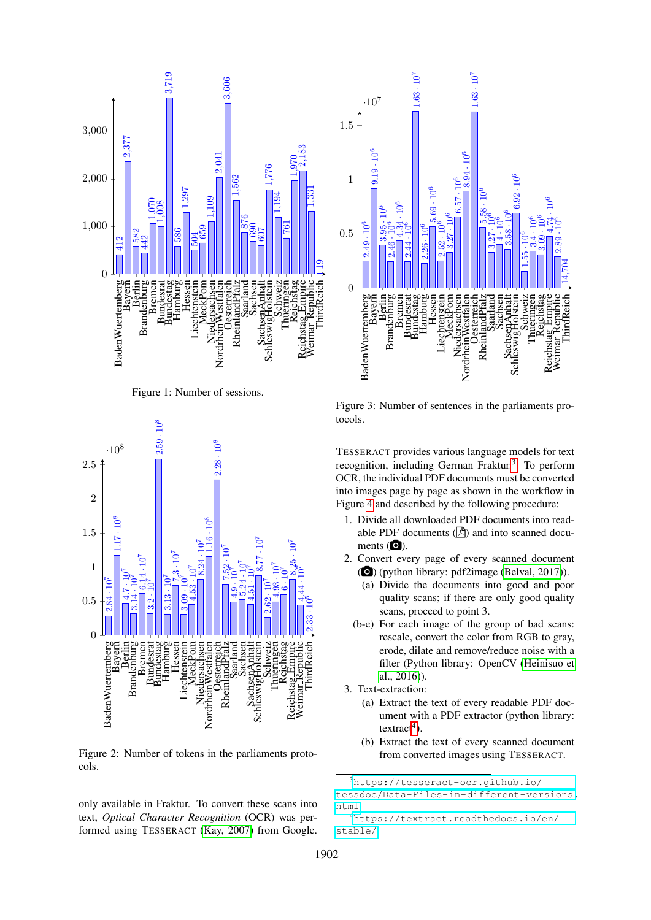

<span id="page-2-0"></span>Figure 1: Number of sessions.



Figure 2: Number of tokens in the parliaments protocols.

only available in Fraktur. To convert these scans into text, *Optical Character Recognition* (OCR) was performed using TESSERACT [\(Kay, 2007\)](#page-5-9) from Google.



<span id="page-2-1"></span>Figure 3: Number of sentences in the parliaments protocols.

TESSERACT provides various language models for text recognition, including German Fraktur.<sup>[3](#page-2-2)</sup> To perform OCR, the individual PDF documents must be converted into images page by page as shown in the workflow in Figure [4](#page-3-0) and described by the following procedure:

- 1. Divide all downloaded PDF documents into readable PDF documents  $(\triangleright)$  and into scanned documents  $\circ$ .
- 2. Convert every page of every scanned document (O) (python library: pdf2image [\(Belval, 2017\)](#page-5-10)).
	- (a) Divide the documents into good and poor quality scans; if there are only good quality scans, proceed to point 3.
	- (b-e) For each image of the group of bad scans: rescale, convert the color from RGB to gray, erode, dilate and remove/reduce noise with a filter (Python library: OpenCV [\(Heinisuo et](#page-5-11) [al., 2016\)](#page-5-11)).
- 3. Text-extraction:
	- (a) Extract the text of every readable PDF document with a PDF extractor (python library:  $texttext{ract}^4$  $texttext{ract}^4$ ).
	- (b) Extract the text of every scanned document from converted images using TESSERACT.

<span id="page-2-2"></span>[https://tesseract-ocr.github.io/](https://tesseract-ocr.github.io/tessdoc/Data-Files-in-different-versions.html)

[tessdoc/Data-Files-in-different-versions.](https://tesseract-ocr.github.io/tessdoc/Data-Files-in-different-versions.html) [html](https://tesseract-ocr.github.io/tessdoc/Data-Files-in-different-versions.html)

<span id="page-2-3"></span>[https://textract.readthedocs.io/en/](https://textract.readthedocs.io/en/stable/) [stable/](https://textract.readthedocs.io/en/stable/)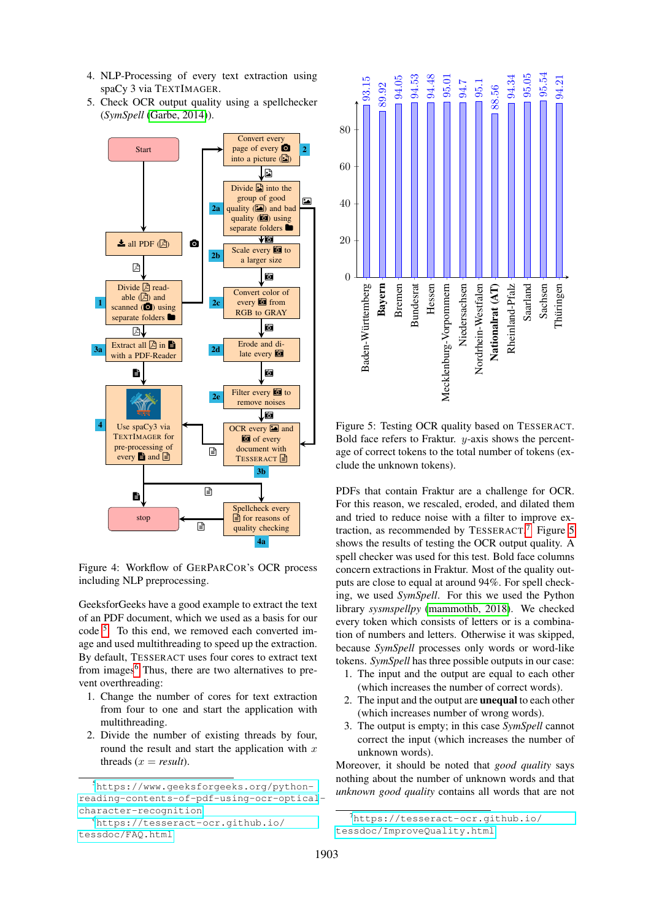- 4. NLP-Processing of every text extraction using spaCy 3 via TEXTIMAGER.
- 5. Check OCR output quality using a spellchecker (*SymSpell* [\(Garbe, 2014\)](#page-5-12)).



<span id="page-3-0"></span>Figure 4: Workflow of GERPARCOR's OCR process including NLP preprocessing.

GeeksforGeeks have a good example to extract the text of an PDF document, which we used as a basis for our code [5](#page-3-1) . To this end, we removed each converted image and used multithreading to speed up the extraction. By default, TESSERACT uses four cores to extract text from images<sup>[6](#page-3-2)</sup> Thus, there are two alternatives to prevent overthreading:

- 1. Change the number of cores for text extraction from four to one and start the application with multithreading.
- 2. Divide the number of existing threads by four, round the result and start the application with  $x$ threads  $(x = result)$ .



<span id="page-3-4"></span>Figure 5: Testing OCR quality based on TESSERACT. Bold face refers to Fraktur.  $y$ -axis shows the percentage of correct tokens to the total number of tokens (exclude the unknown tokens).

PDFs that contain Fraktur are a challenge for OCR. For this reason, we rescaled, eroded, and dilated them and tried to reduce noise with a filter to improve ex-traction, as recommended by TESSERACT.<sup>[7](#page-3-3)</sup> Figure [5](#page-3-4) shows the results of testing the OCR output quality. A spell checker was used for this test. Bold face columns concern extractions in Fraktur. Most of the quality outputs are close to equal at around 94%. For spell checking, we used *SymSpell*. For this we used the Python library *sysmspellpy* [\(mammothb, 2018\)](#page-5-13). We checked every token which consists of letters or is a combination of numbers and letters. Otherwise it was skipped, because *SymSpell* processes only words or word-like tokens. *SymSpell* has three possible outputs in our case:

- 1. The input and the output are equal to each other (which increases the number of correct words).
- 2. The input and the output are unequal to each other (which increases number of wrong words).
- 3. The output is empty; in this case *SymSpell* cannot correct the input (which increases the number of unknown words).

Moreover, it should be noted that *good quality* says nothing about the number of unknown words and that *unknown good quality* contains all words that are not

<span id="page-3-1"></span><sup>5</sup>[https://www.geeksforgeeks.org/python](https://www.geeksforgeeks.org/python-reading-contents-of-pdf-using-ocr-optical-character-recognition)[reading-contents-of-pdf-using-ocr-optical](https://www.geeksforgeeks.org/python-reading-contents-of-pdf-using-ocr-optical-character-recognition)[character-recognition](https://www.geeksforgeeks.org/python-reading-contents-of-pdf-using-ocr-optical-character-recognition)

<span id="page-3-2"></span><sup>6</sup>[https://tesseract-ocr.github.io/](https://tesseract-ocr.github.io/tessdoc/FAQ.html) [tessdoc/FAQ.html](https://tesseract-ocr.github.io/tessdoc/FAQ.html)

<span id="page-3-3"></span><sup>&</sup>lt;sup>7</sup>[https://tesseract-ocr.github.io/](https://tesseract-ocr.github.io/tessdoc/ImproveQuality.html) [tessdoc/ImproveQuality.html](https://tesseract-ocr.github.io/tessdoc/ImproveQuality.html)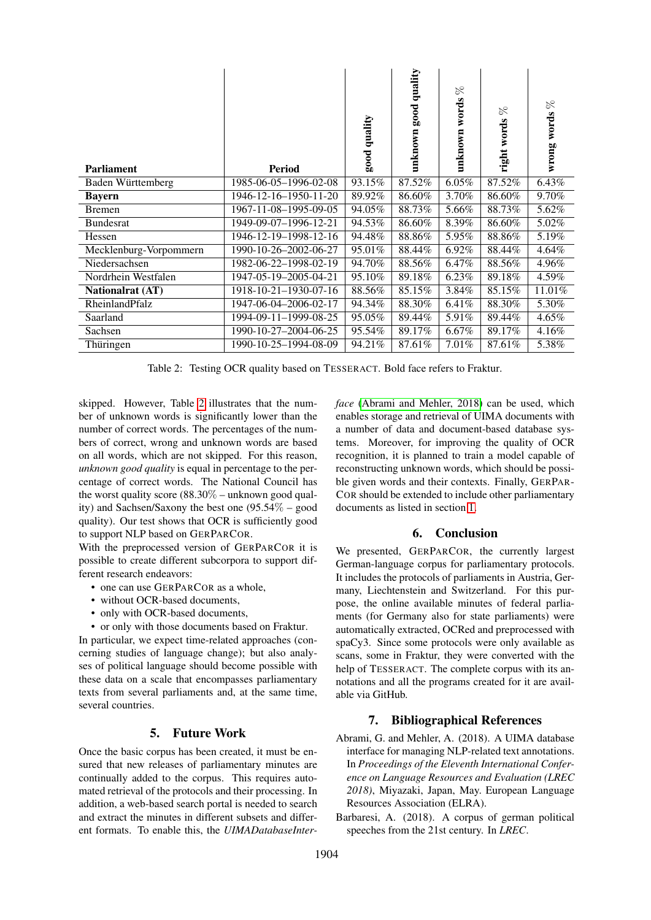| <b>Parliament</b>       | <b>Period</b>         | quality<br>$_{\rm good}$ | quality<br>$_{\rm good}$<br>unknown | $\gtrsim$<br>words<br>unknown | $\gtrsim$<br>right words | $\gtrsim$<br>wrong words |
|-------------------------|-----------------------|--------------------------|-------------------------------------|-------------------------------|--------------------------|--------------------------|
| Baden Württemberg       | 1985-06-05-1996-02-08 | 93.15%                   | 87.52%                              | 6.05%                         | 87.52%                   | 6.43%                    |
| <b>Bayern</b>           | 1946-12-16-1950-11-20 | 89.92%                   | 86.60%                              | 3.70%                         | 86.60%                   | 9.70%                    |
| <b>Bremen</b>           | 1967-11-08-1995-09-05 | 94.05%                   | 88.73%                              | 5.66%                         | 88.73%                   | 5.62%                    |
| <b>Bundesrat</b>        | 1949-09-07-1996-12-21 | 94.53%                   | 86.60%                              | 8.39%                         | 86.60%                   | 5.02%                    |
| Hessen                  | 1946-12-19-1998-12-16 | 94.48%                   | 88.86%                              | 5.95%                         | 88.86%                   | 5.19%                    |
| Mecklenburg-Vorpommern  | 1990-10-26-2002-06-27 | 95.01%                   | 88.44%                              | 6.92%                         | 88.44%                   | 4.64%                    |
| Niedersachsen           | 1982-06-22-1998-02-19 | 94.70%                   | 88.56%                              | 6.47%                         | 88.56%                   | 4.96%                    |
| Nordrhein Westfalen     | 1947-05-19-2005-04-21 | 95.10%                   | 89.18%                              | 6.23%                         | 89.18%                   | 4.59%                    |
| <b>Nationalrat (AT)</b> | 1918-10-21-1930-07-16 | 88.56%                   | 85.15%                              | 3.84%                         | 85.15%                   | 11.01%                   |
| RheinlandPfalz          | 1947-06-04-2006-02-17 | 94.34%                   | 88.30%                              | 6.41%                         | 88.30%                   | 5.30%                    |
| Saarland                | 1994-09-11-1999-08-25 | 95.05%                   | 89.44%                              | 5.91%                         | 89.44%                   | 4.65%                    |
| Sachsen                 | 1990-10-27-2004-06-25 | 95.54%                   | 89.17%                              | 6.67%                         | 89.17%                   | 4.16%                    |
| Thüringen               | 1990-10-25-1994-08-09 | 94.21%                   | 87.61%                              | 7.01%                         | 87.61%                   | 5.38%                    |

<span id="page-4-1"></span>Table 2: Testing OCR quality based on TESSERACT. Bold face refers to Fraktur.

skipped. However, Table [2](#page-4-1) illustrates that the number of unknown words is significantly lower than the number of correct words. The percentages of the numbers of correct, wrong and unknown words are based on all words, which are not skipped. For this reason, *unknown good quality* is equal in percentage to the percentage of correct words. The National Council has the worst quality score (88.30% – unknown good quality) and Sachsen/Saxony the best one (95.54% – good quality). Our test shows that OCR is sufficiently good to support NLP based on GERPARCOR.

With the preprocessed version of GERPARCOR it is possible to create different subcorpora to support different research endeavors:

- one can use GERPARCOR as a whole.
- without OCR-based documents,
- only with OCR-based documents,
- or only with those documents based on Fraktur.

In particular, we expect time-related approaches (concerning studies of language change); but also analyses of political language should become possible with these data on a scale that encompasses parliamentary texts from several parliaments and, at the same time, several countries.

## 5. Future Work

Once the basic corpus has been created, it must be ensured that new releases of parliamentary minutes are continually added to the corpus. This requires automated retrieval of the protocols and their processing. In addition, a web-based search portal is needed to search and extract the minutes in different subsets and different formats. To enable this, the *UIMADatabaseInter-* *face* [\(Abrami and Mehler, 2018\)](#page-4-2) can be used, which enables storage and retrieval of UIMA documents with a number of data and document-based database systems. Moreover, for improving the quality of OCR recognition, it is planned to train a model capable of reconstructing unknown words, which should be possible given words and their contexts. Finally, GERPAR-COR should be extended to include other parliamentary documents as listed in section [1.](#page-0-1)

# 6. Conclusion

We presented, GERPARCOR, the currently largest German-language corpus for parliamentary protocols. It includes the protocols of parliaments in Austria, Germany, Liechtenstein and Switzerland. For this purpose, the online available minutes of federal parliaments (for Germany also for state parliaments) were automatically extracted, OCRed and preprocessed with spaCy3. Since some protocols were only available as scans, some in Fraktur, they were converted with the help of TESSERACT. The complete corpus with its annotations and all the programs created for it are available via GitHub.

## 7. Bibliographical References

- <span id="page-4-2"></span>Abrami, G. and Mehler, A. (2018). A UIMA database interface for managing NLP-related text annotations. In *Proceedings of the Eleventh International Conference on Language Resources and Evaluation (LREC 2018)*, Miyazaki, Japan, May. European Language Resources Association (ELRA).
- <span id="page-4-0"></span>Barbaresi, A. (2018). A corpus of german political speeches from the 21st century. In *LREC*.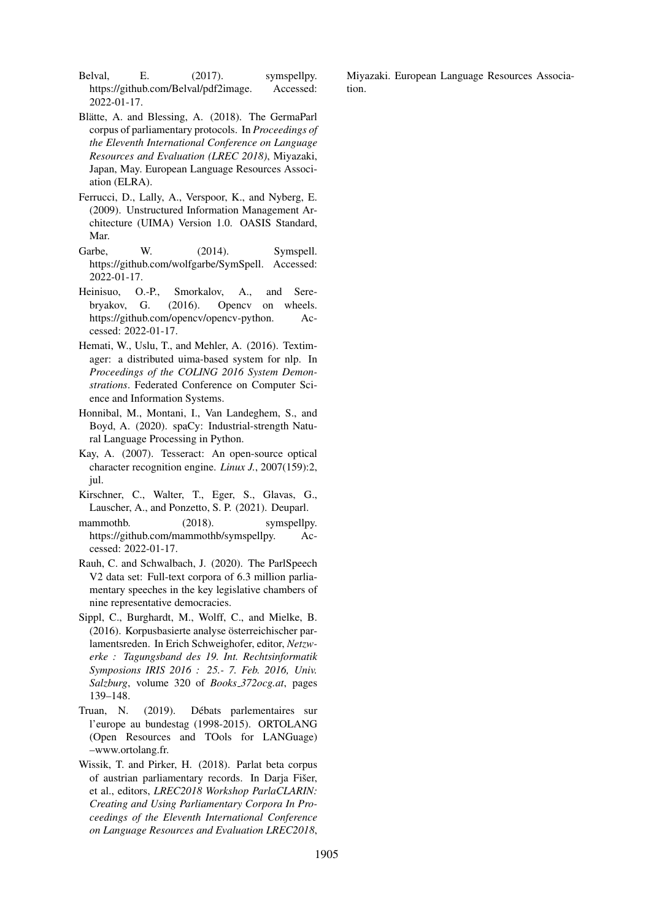<span id="page-5-10"></span>Belval, E. (2017). symspellpy. https://github.com/Belval/pdf2image. Accessed: 2022-01-17.

- <span id="page-5-3"></span>Blätte, A. and Blessing, A. (2018). The GermaParl corpus of parliamentary protocols. In *Proceedings of the Eleventh International Conference on Language Resources and Evaluation (LREC 2018)*, Miyazaki, Japan, May. European Language Resources Association (ELRA).
- <span id="page-5-1"></span>Ferrucci, D., Lally, A., Verspoor, K., and Nyberg, E. (2009). Unstructured Information Management Architecture (UIMA) Version 1.0. OASIS Standard, Mar.
- <span id="page-5-12"></span>Garbe, W. (2014). Symspell. https://github.com/wolfgarbe/SymSpell. Accessed: 2022-01-17.
- <span id="page-5-11"></span>Heinisuo, O.-P., Smorkalov, A., and Serebryakov, G. (2016). Opencv on wheels. https://github.com/opencv/opencv-python. Accessed: 2022-01-17.
- <span id="page-5-0"></span>Hemati, W., Uslu, T., and Mehler, A. (2016). Textimager: a distributed uima-based system for nlp. In *Proceedings of the COLING 2016 System Demonstrations*. Federated Conference on Computer Science and Information Systems.
- <span id="page-5-8"></span>Honnibal, M., Montani, I., Van Landeghem, S., and Boyd, A. (2020). spaCy: Industrial-strength Natural Language Processing in Python.
- <span id="page-5-9"></span>Kay, A. (2007). Tesseract: An open-source optical character recognition engine. *Linux J.*, 2007(159):2, jul.
- <span id="page-5-7"></span>Kirschner, C., Walter, T., Eger, S., Glavas, G., Lauscher, A., and Ponzetto, S. P. (2021). Deuparl.
- <span id="page-5-13"></span>mammothb. (2018). symspellpy. https://github.com/mammothb/symspellpy. Accessed: 2022-01-17.
- <span id="page-5-6"></span>Rauh, C. and Schwalbach, J. (2020). The ParlSpeech V2 data set: Full-text corpora of 6.3 million parliamentary speeches in the key legislative chambers of nine representative democracies.
- <span id="page-5-5"></span>Sippl, C., Burghardt, M., Wolff, C., and Mielke, B. (2016). Korpusbasierte analyse österreichischer parlamentsreden. In Erich Schweighofer, editor, *Netzwerke : Tagungsband des 19. Int. Rechtsinformatik Symposions IRIS 2016 : 25.- 7. Feb. 2016, Univ. Salzburg*, volume 320 of *Books 372ocg.at*, pages 139–148.
- <span id="page-5-2"></span>Truan, N. (2019). Débats parlementaires sur l'europe au bundestag (1998-2015). ORTOLANG (Open Resources and TOols for LANGuage) –www.ortolang.fr.
- <span id="page-5-4"></span>Wissik, T. and Pirker, H. (2018). Parlat beta corpus of austrian parliamentary records. In Darja Fišer, et al., editors, *LREC2018 Workshop ParlaCLARIN: Creating and Using Parliamentary Corpora In Proceedings of the Eleventh International Conference on Language Resources and Evaluation LREC2018*,

Miyazaki. European Language Resources Association.